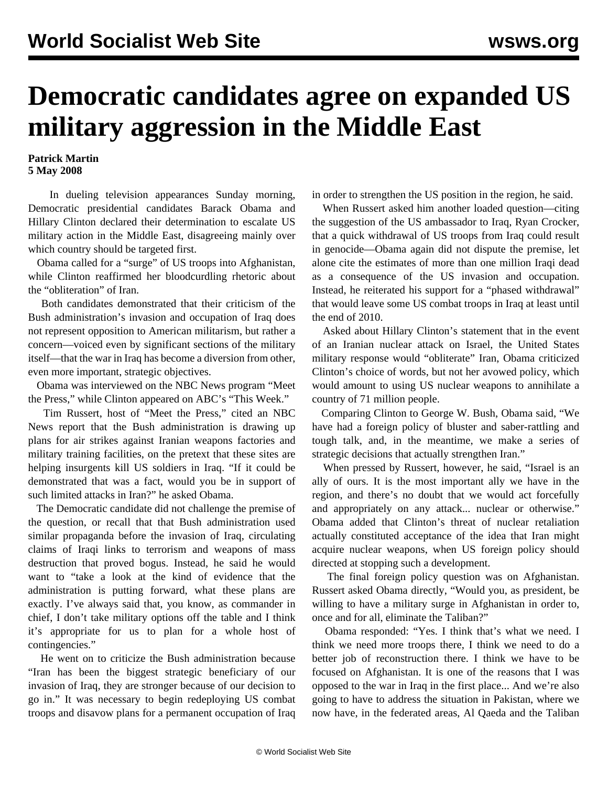## **Democratic candidates agree on expanded US military aggression in the Middle East**

## **Patrick Martin 5 May 2008**

 In dueling television appearances Sunday morning, Democratic presidential candidates Barack Obama and Hillary Clinton declared their determination to escalate US military action in the Middle East, disagreeing mainly over which country should be targeted first.

 Obama called for a "surge" of US troops into Afghanistan, while Clinton reaffirmed her bloodcurdling rhetoric about the "obliteration" of Iran.

 Both candidates demonstrated that their criticism of the Bush administration's invasion and occupation of Iraq does not represent opposition to American militarism, but rather a concern—voiced even by significant sections of the military itself—that the war in Iraq has become a diversion from other, even more important, strategic objectives.

 Obama was interviewed on the NBC News program "Meet the Press," while Clinton appeared on ABC's "This Week."

 Tim Russert, host of "Meet the Press," cited an NBC News report that the Bush administration is drawing up plans for air strikes against Iranian weapons factories and military training facilities, on the pretext that these sites are helping insurgents kill US soldiers in Iraq. "If it could be demonstrated that was a fact, would you be in support of such limited attacks in Iran?" he asked Obama.

 The Democratic candidate did not challenge the premise of the question, or recall that that Bush administration used similar propaganda before the invasion of Iraq, circulating claims of Iraqi links to terrorism and weapons of mass destruction that proved bogus. Instead, he said he would want to "take a look at the kind of evidence that the administration is putting forward, what these plans are exactly. I've always said that, you know, as commander in chief, I don't take military options off the table and I think it's appropriate for us to plan for a whole host of contingencies."

 He went on to criticize the Bush administration because "Iran has been the biggest strategic beneficiary of our invasion of Iraq, they are stronger because of our decision to go in." It was necessary to begin redeploying US combat troops and disavow plans for a permanent occupation of Iraq in order to strengthen the US position in the region, he said.

 When Russert asked him another loaded question—citing the suggestion of the US ambassador to Iraq, Ryan Crocker, that a quick withdrawal of US troops from Iraq could result in genocide—Obama again did not dispute the premise, let alone cite the estimates of more than one million Iraqi dead as a consequence of the US invasion and occupation. Instead, he reiterated his support for a "phased withdrawal" that would leave some US combat troops in Iraq at least until the end of 2010.

 Asked about Hillary Clinton's statement that in the event of an Iranian nuclear attack on Israel, the United States military response would "obliterate" Iran, Obama criticized Clinton's choice of words, but not her avowed policy, which would amount to using US nuclear weapons to annihilate a country of 71 million people.

 Comparing Clinton to George W. Bush, Obama said, "We have had a foreign policy of bluster and saber-rattling and tough talk, and, in the meantime, we make a series of strategic decisions that actually strengthen Iran."

 When pressed by Russert, however, he said, "Israel is an ally of ours. It is the most important ally we have in the region, and there's no doubt that we would act forcefully and appropriately on any attack... nuclear or otherwise." Obama added that Clinton's threat of nuclear retaliation actually constituted acceptance of the idea that Iran might acquire nuclear weapons, when US foreign policy should directed at stopping such a development.

 The final foreign policy question was on Afghanistan. Russert asked Obama directly, "Would you, as president, be willing to have a military surge in Afghanistan in order to, once and for all, eliminate the Taliban?"

 Obama responded: "Yes. I think that's what we need. I think we need more troops there, I think we need to do a better job of reconstruction there. I think we have to be focused on Afghanistan. It is one of the reasons that I was opposed to the war in Iraq in the first place... And we're also going to have to address the situation in Pakistan, where we now have, in the federated areas, Al Qaeda and the Taliban